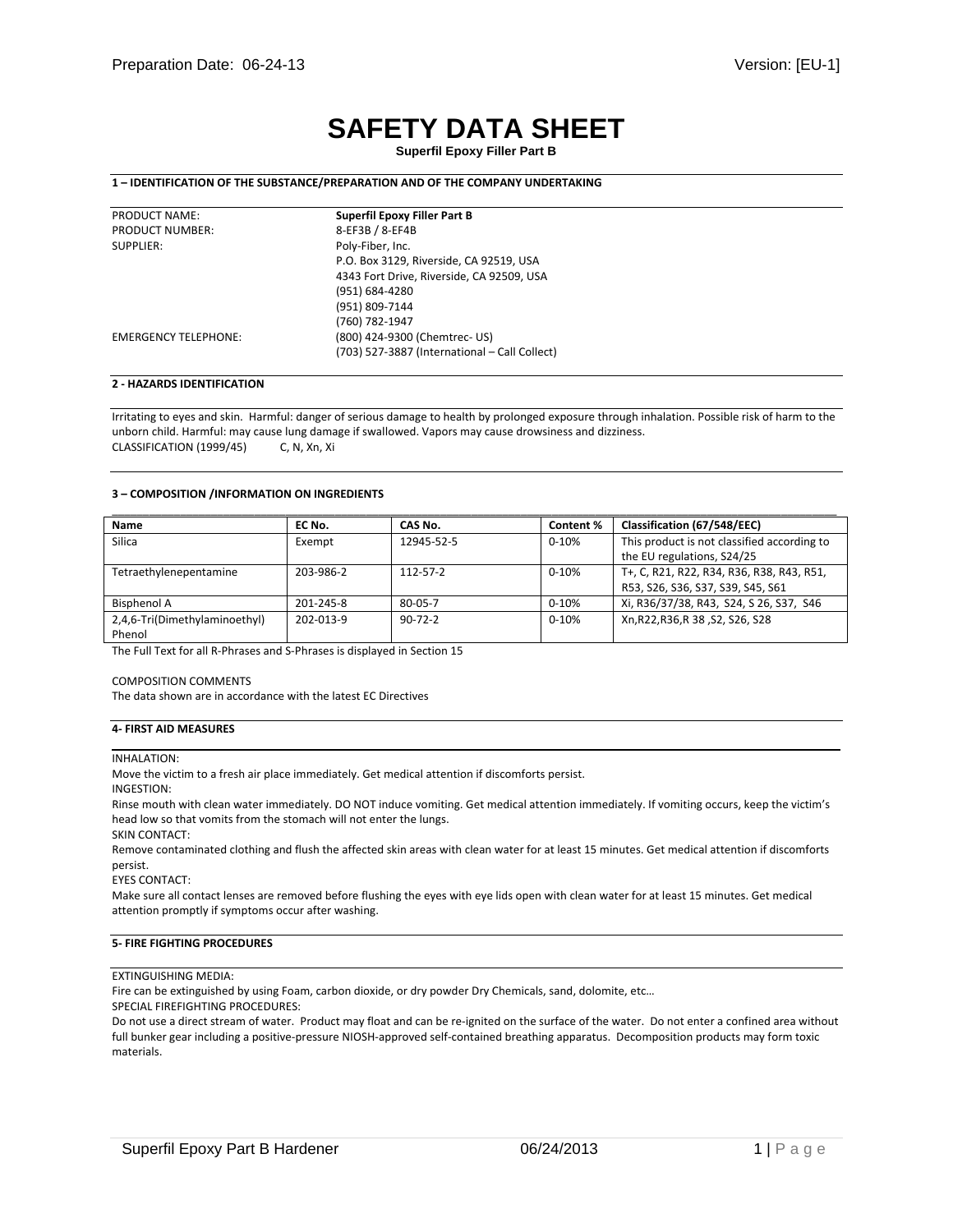# **SAFETY DATA SHEET**

# **1 – IDENTIFICATION OF THE SUBSTANCE/PREPARATION AND OF THE COMPANY UNDERTAKING**

| PRODUCT NAME:               | <b>Superfil Epoxy Filler Part B</b>           |
|-----------------------------|-----------------------------------------------|
| <b>PRODUCT NUMBER:</b>      | 8-EF3B / 8-EF4B                               |
| SUPPLIER:                   | Poly-Fiber, Inc.                              |
|                             | P.O. Box 3129, Riverside, CA 92519, USA       |
|                             | 4343 Fort Drive, Riverside, CA 92509, USA     |
|                             | (951) 684-4280                                |
|                             | (951) 809-7144                                |
|                             | (760) 782-1947                                |
| <b>EMERGENCY TELEPHONE:</b> | (800) 424-9300 (Chemtrec- US)                 |
|                             | (703) 527-3887 (International - Call Collect) |
|                             |                                               |

## **2 - HAZARDS IDENTIFICATION**

Irritating to eyes and skin. Harmful: danger of serious damage to health by prolonged exposure through inhalation. Possible risk of harm to the unborn child. Harmful: may cause lung damage if swallowed. Vapors may cause drowsiness and dizziness. CLASSIFICATION (1999/45) C, N, Xn, Xi

#### **3 – COMPOSITION /INFORMATION ON INGREDIENTS**

| Name                          | EC No.    | CAS No.       | Content % | Classification (67/548/EEC)                 |
|-------------------------------|-----------|---------------|-----------|---------------------------------------------|
| <b>Silica</b>                 | Exempt    | 12945-52-5    | $0 - 10%$ | This product is not classified according to |
|                               |           |               |           | the EU regulations, S24/25                  |
| Tetraethylenepentamine        | 203-986-2 | 112-57-2      | $0 - 10%$ | T+, C, R21, R22, R34, R36, R38, R43, R51,   |
|                               |           |               |           | R53, S26, S36, S37, S39, S45, S61           |
| <b>Bisphenol A</b>            | 201-245-8 | $80 - 05 - 7$ | $0 - 10%$ | Xi, R36/37/38, R43, S24, S26, S37, S46      |
| 2,4,6-Tri(Dimethylaminoethyl) | 202-013-9 | $90 - 72 - 2$ | $0 - 10%$ | Xn, R22, R36, R38, S2, S26, S28             |
| Phenol                        |           |               |           |                                             |

The Full Text for all R-Phrases and S-Phrases is displayed in Section 15

#### COMPOSITION COMMENTS

The data shown are in accordance with the latest EC Directives

## **4- FIRST AID MEASURES**

#### INHALATION:

Move the victim to a fresh air place immediately. Get medical attention if discomforts persist.

INGESTION:

Rinse mouth with clean water immediately. DO NOT induce vomiting. Get medical attention immediately. If vomiting occurs, keep the victim's head low so that vomits from the stomach will not enter the lungs.

SKIN CONTACT:

Remove contaminated clothing and flush the affected skin areas with clean water for at least 15 minutes. Get medical attention if discomforts persist.

EYES CONTACT:

Make sure all contact lenses are removed before flushing the eyes with eye lids open with clean water for at least 15 minutes. Get medical attention promptly if symptoms occur after washing.

## **5- FIRE FIGHTING PROCEDURES**

## EXTINGUISHING MEDIA:

Fire can be extinguished by using Foam, carbon dioxide, or dry powder Dry Chemicals, sand, dolomite, etc…

SPECIAL FIREFIGHTING PROCEDURES:

Do not use a direct stream of water. Product may float and can be re-ignited on the surface of the water. Do not enter a confined area without full bunker gear including a positive-pressure NIOSH-approved self-contained breathing apparatus. Decomposition products may form toxic materials.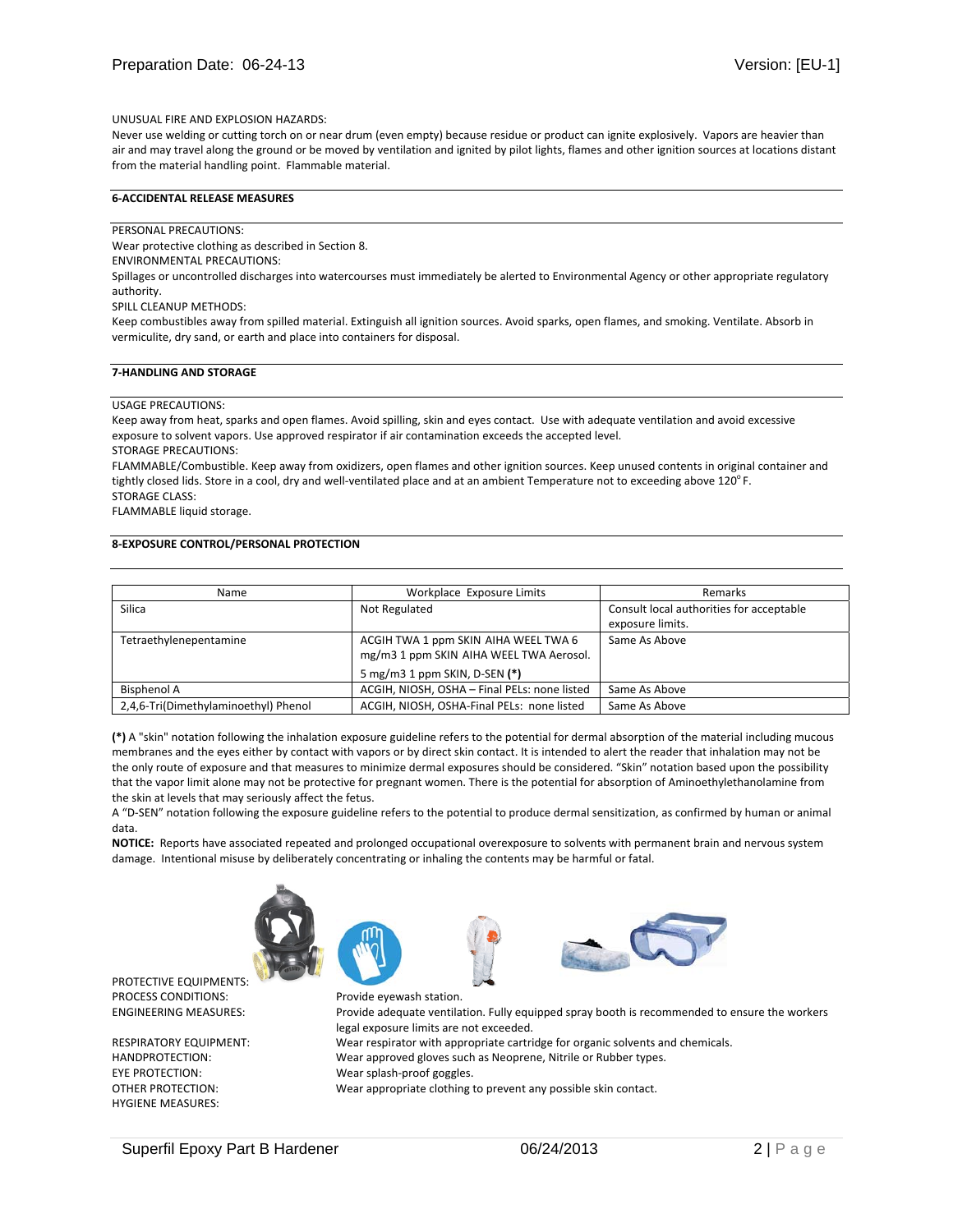## UNUSUAL FIRE AND EXPLOSION HAZARDS:

Never use welding or cutting torch on or near drum (even empty) because residue or product can ignite explosively. Vapors are heavier than air and may travel along the ground or be moved by ventilation and ignited by pilot lights, flames and other ignition sources at locations distant from the material handling point. Flammable material.

# **6-ACCIDENTAL RELEASE MEASURES**

## PERSONAL PRECAUTIONS:

Wear protective clothing as described in Section 8.

ENVIRONMENTAL PRECAUTIONS:

Spillages or uncontrolled discharges into watercourses must immediately be alerted to Environmental Agency or other appropriate regulatory authority.

SPILL CLEANUP METHODS:

Keep combustibles away from spilled material. Extinguish all ignition sources. Avoid sparks, open flames, and smoking. Ventilate. Absorb in vermiculite, dry sand, or earth and place into containers for disposal.

## **7-HANDLING AND STORAGE**

#### USAGE PRECAUTIONS:

Keep away from heat, sparks and open flames. Avoid spilling, skin and eyes contact. Use with adequate ventilation and avoid excessive exposure to solvent vapors. Use approved respirator if air contamination exceeds the accepted level.

STORAGE PRECAUTIONS:

FLAMMABLE/Combustible. Keep away from oxidizers, open flames and other ignition sources. Keep unused contents in original container and tightly closed lids. Store in a cool, dry and well-ventilated place and at an ambient Temperature not to exceeding above 120°F. STORAGE CLASS:

FLAMMABLE liquid storage.

# **8-EXPOSURE CONTROL/PERSONAL PROTECTION**

| Name                                 | Workplace Exposure Limits                                                       | <b>Remarks</b>                           |
|--------------------------------------|---------------------------------------------------------------------------------|------------------------------------------|
| <b>Silica</b>                        | Not Regulated                                                                   | Consult local authorities for acceptable |
|                                      |                                                                                 | exposure limits.                         |
| Tetraethylenepentamine               | ACGIH TWA 1 ppm SKIN AIHA WEEL TWA 6<br>mg/m3 1 ppm SKIN AIHA WEEL TWA Aerosol. | Same As Above                            |
|                                      | 5 mg/m3 1 ppm SKIN, D-SEN (*)                                                   |                                          |
| Bisphenol A                          | ACGIH, NIOSH, OSHA - Final PELs: none listed                                    | Same As Above                            |
| 2,4,6-Tri(Dimethylaminoethyl) Phenol | ACGIH, NIOSH, OSHA-Final PELs: none listed                                      | Same As Above                            |

**(\*)** A "skin" notation following the inhalation exposure guideline refers to the potential for dermal absorption of the material including mucous membranes and the eyes either by contact with vapors or by direct skin contact. It is intended to alert the reader that inhalation may not be the only route of exposure and that measures to minimize dermal exposures should be considered. "Skin" notation based upon the possibility that the vapor limit alone may not be protective for pregnant women. There is the potential for absorption of Aminoethylethanolamine from the skin at levels that may seriously affect the fetus.

A "D-SEN" notation following the exposure guideline refers to the potential to produce dermal sensitization, as confirmed by human or animal data.

**NOTICE:** Reports have associated repeated and prolonged occupational overexposure to solvents with permanent brain and nervous system damage. Intentional misuse by deliberately concentrating or inhaling the contents may be harmful or fatal.



PROTECTIVE EQUIPMENTS:

HYGIENE MEASURES:

ENGINEERING MEASURES: Provide adequate ventilation. Fully equipped spray booth is recommended to ensure the workers legal exposure limits are not exceeded. RESPIRATORY EQUIPMENT: Wear respirator with appropriate cartridge for organic solvents and chemicals. HANDPROTECTION: Wear approved gloves such as Neoprene, Nitrile or Rubber types. EYE PROTECTION: Wear splash-proof goggles. OTHER PROTECTION: Wear appropriate clothing to prevent any possible skin contact.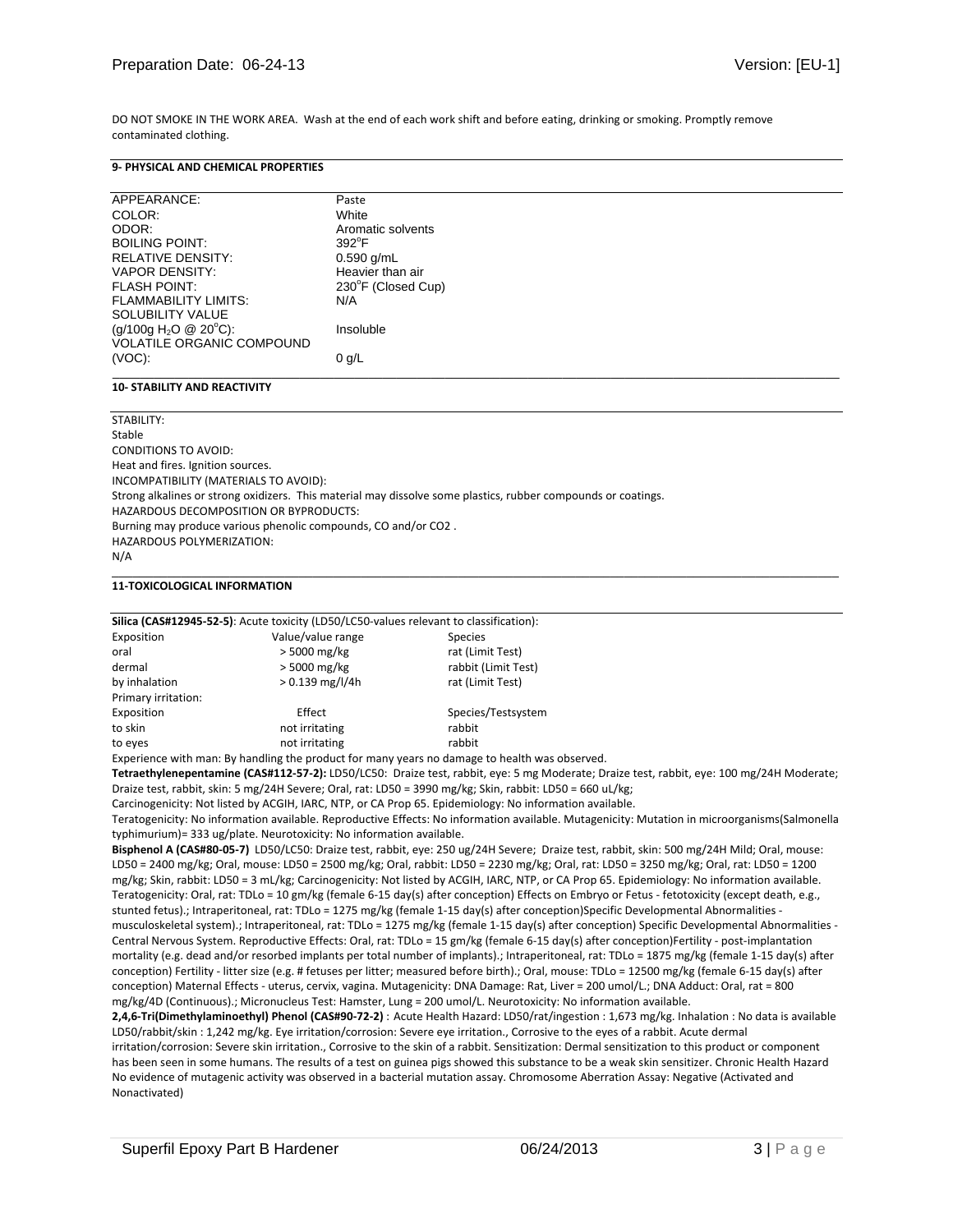DO NOT SMOKE IN THE WORK AREA. Wash at the end of each work shift and before eating, drinking or smoking. Promptly remove contaminated clothing.

## **9- PHYSICAL AND CHEMICAL PROPERTIES**

| APPEARANCE:                       | Paste              |
|-----------------------------------|--------------------|
| COLOR:                            | White              |
| ODOR:                             | Aromatic solvents  |
| <b>BOILING POINT:</b>             | $392^{\circ}$ F    |
| RELATIVE DENSITY:                 | $0.590$ g/mL       |
| <b>VAPOR DENSITY:</b>             | Heavier than air   |
| <b>FLASH POINT:</b>               | 230°F (Closed Cup) |
| <b>FLAMMABILITY LIMITS:</b>       | N/A                |
| SOLUBILITY VALUE                  |                    |
| (g/100g H <sub>2</sub> O @ 20°C): | Insoluble          |
| <b>VOLATILE ORGANIC COMPOUND</b>  |                    |
| $(VOC)$ :                         | $0$ g/L            |
|                                   |                    |

## **10- STABILITY AND REACTIVITY**

| STABILITY:                                                                                                    |  |
|---------------------------------------------------------------------------------------------------------------|--|
| Stable                                                                                                        |  |
| CONDITIONS TO AVOID:                                                                                          |  |
| Heat and fires. Ignition sources.                                                                             |  |
| INCOMPATIBILITY (MATERIALS TO AVOID):                                                                         |  |
| Strong alkalines or strong oxidizers. This material may dissolve some plastics, rubber compounds or coatings. |  |
| HAZARDOUS DECOMPOSITION OR BYPRODUCTS:                                                                        |  |
| Burning may produce various phenolic compounds, CO and/or CO2.                                                |  |
| HAZARDOUS POLYMERIZATION:                                                                                     |  |
| N/A                                                                                                           |  |
|                                                                                                               |  |

#### **11-TOXICOLOGICAL INFORMATION**

| Silica (CAS#12945-52-5): Acute toxicity (LD50/LC50-values relevant to classification): |                   |                                                                                               |  |
|----------------------------------------------------------------------------------------|-------------------|-----------------------------------------------------------------------------------------------|--|
| Exposition                                                                             | Value/value range | <b>Species</b>                                                                                |  |
| oral                                                                                   | $>$ 5000 mg/kg    | rat (Limit Test)                                                                              |  |
| dermal                                                                                 | > 5000 mg/kg      | rabbit (Limit Test)                                                                           |  |
| by inhalation                                                                          | $> 0.139$ mg/l/4h | rat (Limit Test)                                                                              |  |
| Primary irritation:                                                                    |                   |                                                                                               |  |
| Exposition                                                                             | Effect            | Species/Testsystem                                                                            |  |
| to skin                                                                                | not irritating    | rabbit                                                                                        |  |
| to eyes                                                                                | not irritating    | rabbit                                                                                        |  |
|                                                                                        |                   | Experience with man: By handling the product for many years no damage to health was observed. |  |
|                                                                                        |                   |                                                                                               |  |

**Tetraethylenepentamine (CAS#112-57-2):** LD50/LC50: Draize test, rabbit, eye: 5 mg Moderate; Draize test, rabbit, eye: 100 mg/24H Moderate; Draize test, rabbit, skin: 5 mg/24H Severe; Oral, rat: LD50 = 3990 mg/kg; Skin, rabbit: LD50 = 660 uL/kg;

Carcinogenicity: Not listed by ACGIH, IARC, NTP, or CA Prop 65. Epidemiology: No information available.

Teratogenicity: No information available. Reproductive Effects: No information available. Mutagenicity: Mutation in microorganisms(Salmonella typhimurium)= 333 ug/plate. Neurotoxicity: No information available.

**Bisphenol A (CAS#80-05-7)** LD50/LC50: Draize test, rabbit, eye: 250 ug/24H Severe; Draize test, rabbit, skin: 500 mg/24H Mild; Oral, mouse: LD50 = 2400 mg/kg; Oral, mouse: LD50 = 2500 mg/kg; Oral, rabbit: LD50 = 2230 mg/kg; Oral, rat: LD50 = 3250 mg/kg; Oral, rat: LD50 = 1200 mg/kg; Skin, rabbit: LD50 = 3 mL/kg; Carcinogenicity: Not listed by ACGIH, IARC, NTP, or CA Prop 65. Epidemiology: No information available. Teratogenicity: Oral, rat: TDLo = 10 gm/kg (female 6-15 day(s) after conception) Effects on Embryo or Fetus - fetotoxicity (except death, e.g., stunted fetus).; Intraperitoneal, rat: TDLo = 1275 mg/kg (female 1-15 day(s) after conception)Specific Developmental Abnormalities musculoskeletal system).; Intraperitoneal, rat: TDLo = 1275 mg/kg (female 1-15 day(s) after conception) Specific Developmental Abnormalities - Central Nervous System. Reproductive Effects: Oral, rat: TDLo = 15 gm/kg (female 6-15 day(s) after conception)Fertility - post-implantation mortality (e.g. dead and/or resorbed implants per total number of implants).; Intraperitoneal, rat: TDLo = 1875 mg/kg (female 1-15 day(s) after conception) Fertility - litter size (e.g. # fetuses per litter; measured before birth).; Oral, mouse: TDLo = 12500 mg/kg (female 6-15 day(s) after conception) Maternal Effects - uterus, cervix, vagina. Mutagenicity: DNA Damage: Rat, Liver = 200 umol/L.; DNA Adduct: Oral, rat = 800 mg/kg/4D (Continuous).; Micronucleus Test: Hamster, Lung = 200 umol/L. Neurotoxicity: No information available.

**2,4,6-Tri(Dimethylaminoethyl) Phenol (CAS#90-72-2)** : Acute Health Hazard: LD50/rat/ingestion : 1,673 mg/kg. Inhalation : No data is available LD50/rabbit/skin : 1,242 mg/kg. Eye irritation/corrosion: Severe eye irritation., Corrosive to the eyes of a rabbit. Acute dermal irritation/corrosion: Severe skin irritation., Corrosive to the skin of a rabbit. Sensitization: Dermal sensitization to this product or component has been seen in some humans. The results of a test on guinea pigs showed this substance to be a weak skin sensitizer. Chronic Health Hazard No evidence of mutagenic activity was observed in a bacterial mutation assay. Chromosome Aberration Assay: Negative (Activated and Nonactivated)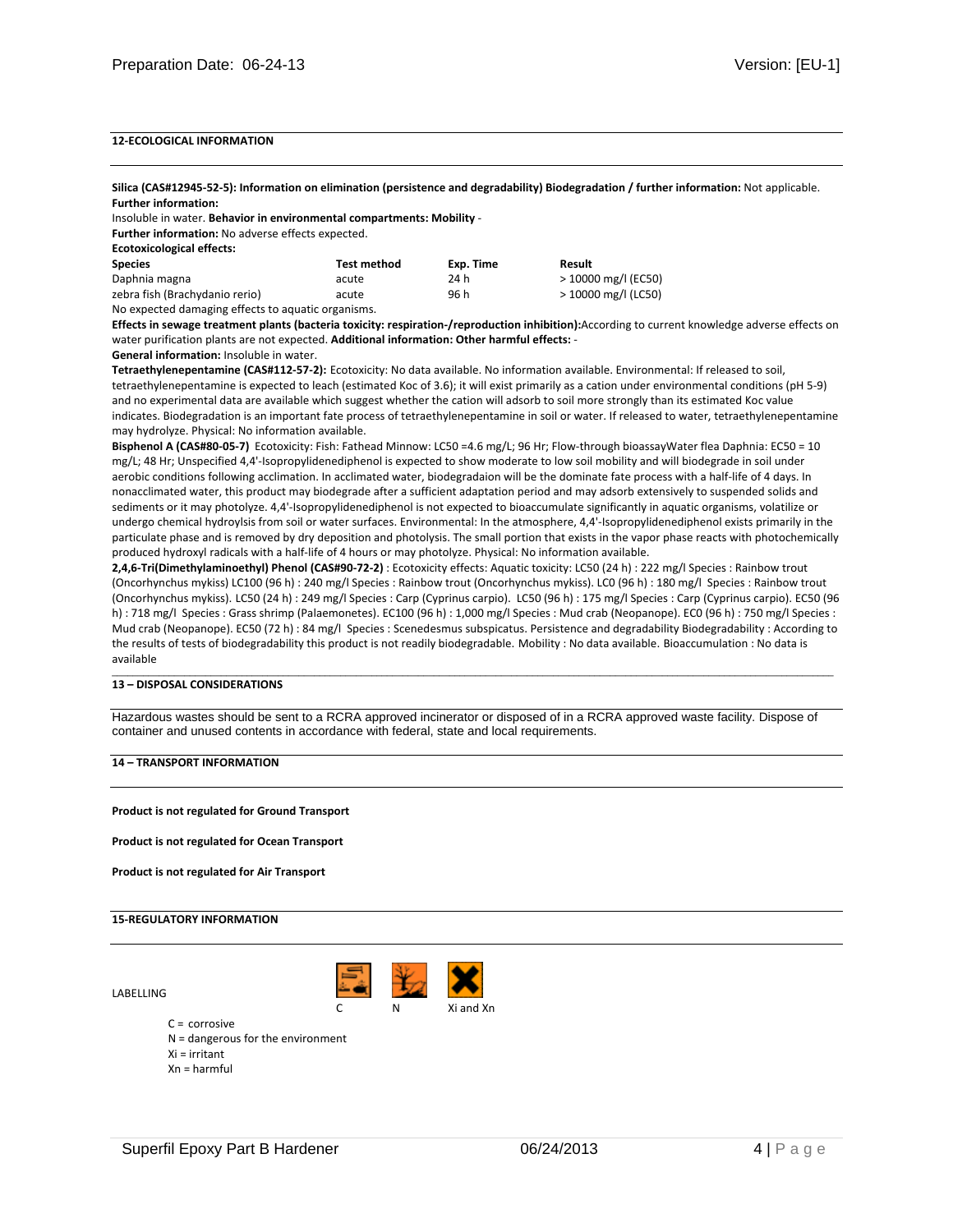# **12-ECOLOGICAL INFORMATION**

**Silica (CAS#12945-52-5): Information on elimination (persistence and degradability) Biodegradation / further information:** Not applicable. **Further information:** 

Insoluble in water. **Behavior in environmental compartments: Mobility** -

**Further information:** No adverse effects expected.

**Ecotoxicological effects:** 

| <b>Species</b>                                     | Test method | Exp. Time | Result                |
|----------------------------------------------------|-------------|-----------|-----------------------|
| Daphnia magna                                      | acute       | 24 h      | > 10000 mg/l (EC50)   |
| zebra fish (Brachydanio rerio)                     | acute       | 96 h      | $>$ 10000 mg/l (LC50) |
| No expected damaging effects to aquatic organisms. |             |           |                       |

**Effects in sewage treatment plants (bacteria toxicity: respiration-/reproduction inhibition):**According to current knowledge adverse effects on water purification plants are not expected. **Additional information: Other harmful effects:** -

#### **General information:** Insoluble in water.

**Tetraethylenepentamine (CAS#112-57-2):** Ecotoxicity: No data available. No information available. Environmental: If released to soil, tetraethylenepentamine is expected to leach (estimated Koc of 3.6); it will exist primarily as a cation under environmental conditions (pH 5-9) and no experimental data are available which suggest whether the cation will adsorb to soil more strongly than its estimated Koc value indicates. Biodegradation is an important fate process of tetraethylenepentamine in soil or water. If released to water, tetraethylenepentamine may hydrolyze. Physical: No information available.

**Bisphenol A (CAS#80-05-7)** Ecotoxicity: Fish: Fathead Minnow: LC50 =4.6 mg/L; 96 Hr; Flow-through bioassayWater flea Daphnia: EC50 = 10 mg/L; 48 Hr; Unspecified 4,4'-Isopropylidenediphenol is expected to show moderate to low soil mobility and will biodegrade in soil under aerobic conditions following acclimation. In acclimated water, biodegradaion will be the dominate fate process with a half-life of 4 days. In nonacclimated water, this product may biodegrade after a sufficient adaptation period and may adsorb extensively to suspended solids and sediments or it may photolyze. 4,4'-Isopropylidenediphenol is not expected to bioaccumulate significantly in aquatic organisms, volatilize or undergo chemical hydroylsis from soil or water surfaces. Environmental: In the atmosphere, 4,4'-Isopropylidenediphenol exists primarily in the particulate phase and is removed by dry deposition and photolysis. The small portion that exists in the vapor phase reacts with photochemically produced hydroxyl radicals with a half-life of 4 hours or may photolyze. Physical: No information available.

**2,4,6-Tri(Dimethylaminoethyl) Phenol (CAS#90-72-2)** : Ecotoxicity effects: Aquatic toxicity: LC50 (24 h) : 222 mg/l Species : Rainbow trout (Oncorhynchus mykiss) LC100 (96 h) : 240 mg/l Species : Rainbow trout (Oncorhynchus mykiss). LC0 (96 h) : 180 mg/l Species : Rainbow trout (Oncorhynchus mykiss). LC50 (24 h) : 249 mg/l Species : Carp (Cyprinus carpio). LC50 (96 h) : 175 mg/l Species : Carp (Cyprinus carpio). EC50 (96 h) : 718 mg/l Species : Grass shrimp (Palaemonetes). EC100 (96 h) : 1,000 mg/l Species : Mud crab (Neopanope). EC0 (96 h) : 750 mg/l Species : Mud crab (Neopanope). EC50 (72 h) : 84 mg/l Species : Scenedesmus subspicatus. Persistence and degradability Biodegradability : According to the results of tests of biodegradability this product is not readily biodegradable. Mobility : No data available. Bioaccumulation : No data is available

\_\_\_\_\_\_\_\_\_\_\_\_\_\_\_\_\_\_\_\_\_\_\_\_\_\_\_\_\_\_\_\_\_\_\_\_\_\_\_\_\_\_\_\_\_\_\_\_\_\_\_\_\_\_\_\_\_\_\_\_\_\_\_\_\_\_\_\_\_\_\_\_\_\_\_\_\_\_\_\_\_\_\_\_\_\_\_\_\_\_\_\_\_\_\_\_\_\_\_\_\_\_\_\_\_\_\_\_\_\_\_\_\_\_\_\_\_\_\_\_\_\_\_\_\_\_\_\_\_\_\_\_\_\_\_\_\_\_\_

#### **13 – DISPOSAL CONSIDERATIONS**

Hazardous wastes should be sent to a RCRA approved incinerator or disposed of in a RCRA approved waste facility. Dispose of container and unused contents in accordance with federal, state and local requirements.

## **14 – TRANSPORT INFORMATION**

**Product is not regulated for Ground Transport** 

**Product is not regulated for Ocean Transport** 

**Product is not regulated for Air Transport** 

#### **15-REGULATORY INFORMATION**



LABELLING

- $C =$  corrosive
- N = dangerous for the environment
- Xi = irritant
- Xn = harmful